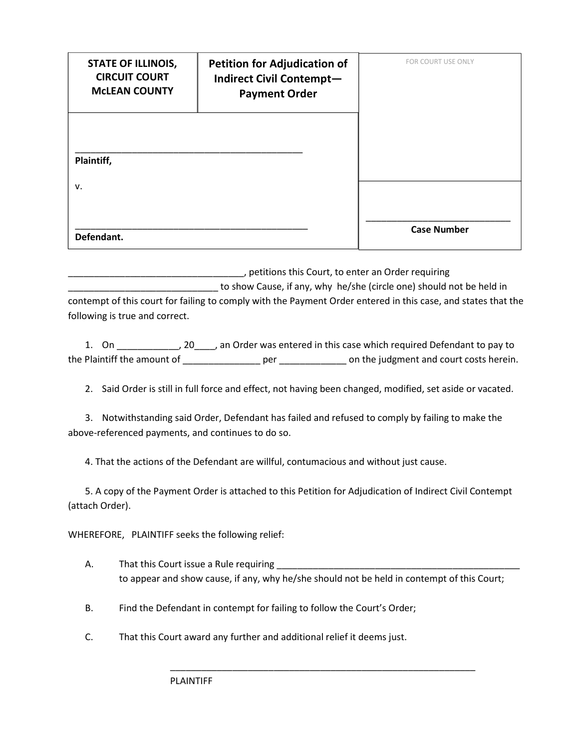| <b>STATE OF ILLINOIS,</b><br><b>CIRCUIT COURT</b><br><b>MCLEAN COUNTY</b> | <b>Petition for Adjudication of</b><br><b>Indirect Civil Contempt-</b><br><b>Payment Order</b> | FOR COURT USE ONLY |
|---------------------------------------------------------------------------|------------------------------------------------------------------------------------------------|--------------------|
| Plaintiff,                                                                |                                                                                                |                    |
| v.<br>Defendant.                                                          |                                                                                                | <b>Case Number</b> |

\_\_\_\_\_\_\_\_\_\_\_\_\_\_\_\_\_\_\_\_\_\_\_\_\_\_\_\_\_\_\_\_\_\_, petitions this Court, to enter an Order requiring to show Cause, if any, why he/she (circle one) should not be held in contempt of this court for failing to comply with the Payment Order entered in this case, and states that the following is true and correct.

1. On \_\_\_\_\_\_\_\_\_\_\_\_, 20\_\_\_\_, an Order was entered in this case which required Defendant to pay to the Plaintiff the amount of \_\_\_\_\_\_\_\_\_\_\_\_\_\_\_ per \_\_\_\_\_\_\_\_\_\_\_\_\_ on the judgment and court costs herein.

2. Said Order is still in full force and effect, not having been changed, modified, set aside or vacated.

3. Notwithstanding said Order, Defendant has failed and refused to comply by failing to make the above-referenced payments, and continues to do so.

4. That the actions of the Defendant are willful, contumacious and without just cause.

5. A copy of the Payment Order is attached to this Petition for Adjudication of Indirect Civil Contempt (attach Order).

WHEREFORE, PLAINTIFF seeks the following relief:

- A. That this Court issue a Rule requiring to appear and show cause, if any, why he/she should not be held in contempt of this Court;
- B. Find the Defendant in contempt for failing to follow the Court's Order;
- C. That this Court award any further and additional relief it deems just.

\_\_\_\_\_\_\_\_\_\_\_\_\_\_\_\_\_\_\_\_\_\_\_\_\_\_\_\_\_\_\_\_\_\_\_\_\_\_\_\_\_\_\_\_\_\_\_\_\_\_\_\_\_\_\_\_\_\_\_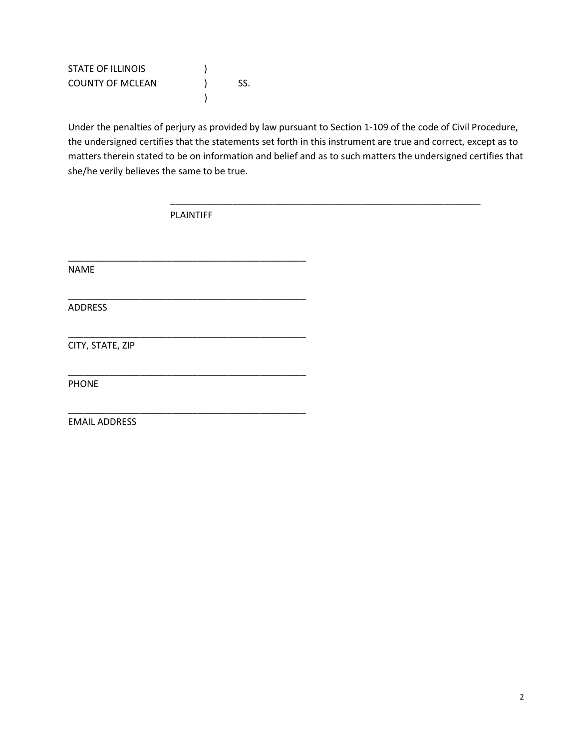| <b>STATE OF ILLINOIS</b> |     |
|--------------------------|-----|
| <b>COUNTY OF MCLEAN</b>  | SS. |
|                          |     |

Under the penalties of perjury as provided by law pursuant to Section 1-109 of the code of Civil Procedure, the undersigned certifies that the statements set forth in this instrument are true and correct, except as to matters therein stated to be on information and belief and as to such matters the undersigned certifies that she/he verily believes the same to be true.

\_\_\_\_\_\_\_\_\_\_\_\_\_\_\_\_\_\_\_\_\_\_\_\_\_\_\_\_\_\_\_\_\_\_\_\_\_\_\_\_\_\_\_\_\_\_\_\_\_\_\_\_\_\_\_\_\_\_\_\_

PLAINTIFF

\_\_\_\_\_\_\_\_\_\_\_\_\_\_\_\_\_\_\_\_\_\_\_\_\_\_\_\_\_\_\_\_\_\_\_\_\_\_\_\_\_\_\_\_\_\_

\_\_\_\_\_\_\_\_\_\_\_\_\_\_\_\_\_\_\_\_\_\_\_\_\_\_\_\_\_\_\_\_\_\_\_\_\_\_\_\_\_\_\_\_\_\_

\_\_\_\_\_\_\_\_\_\_\_\_\_\_\_\_\_\_\_\_\_\_\_\_\_\_\_\_\_\_\_\_\_\_\_\_\_\_\_\_\_\_\_\_\_\_

\_\_\_\_\_\_\_\_\_\_\_\_\_\_\_\_\_\_\_\_\_\_\_\_\_\_\_\_\_\_\_\_\_\_\_\_\_\_\_\_\_\_\_\_\_\_

\_\_\_\_\_\_\_\_\_\_\_\_\_\_\_\_\_\_\_\_\_\_\_\_\_\_\_\_\_\_\_\_\_\_\_\_\_\_\_\_\_\_\_\_\_\_

NAME

ADDRESS

CITY, STATE, ZIP

PHONE

EMAIL ADDRESS